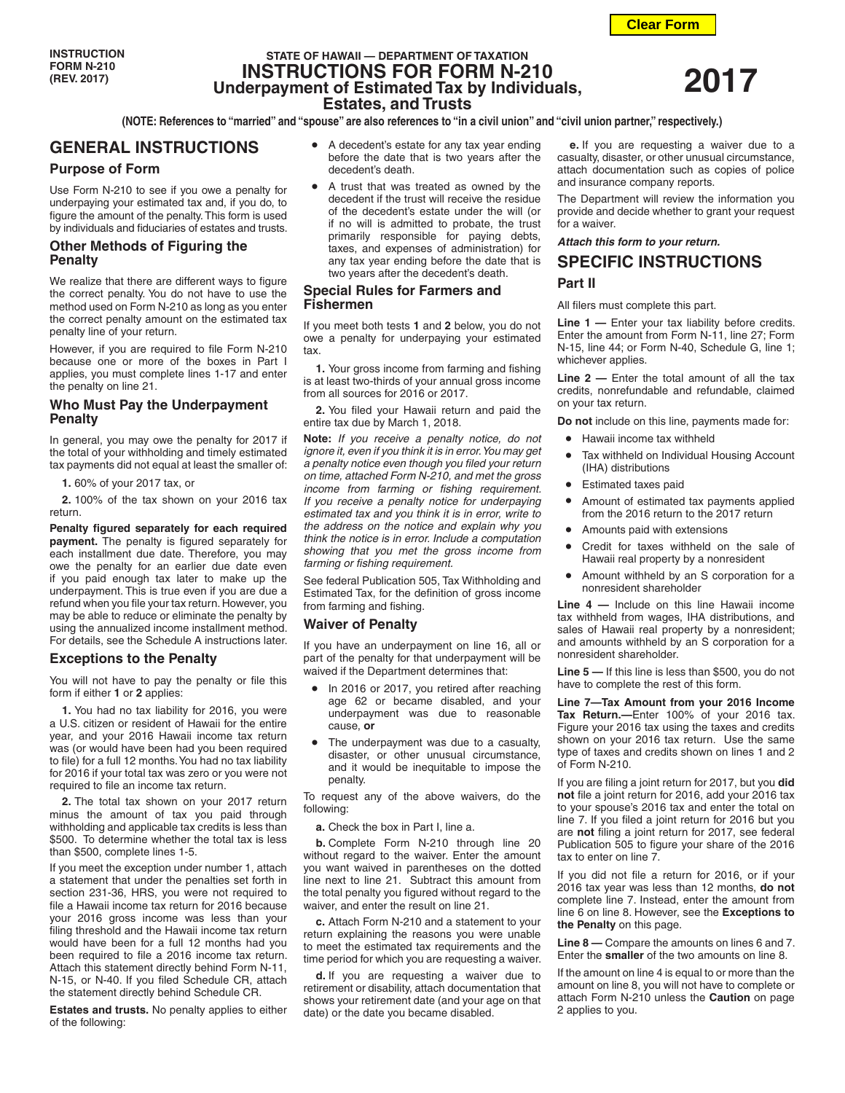# **STATE OF HAWAII — DEPARTMENT OF TAXATION INSTRUCTIONS FOR FORM N-210 Underpayment of Estimated Tax by Individuals, Estates, and Trusts**

**(NOTE: References to "married" and "spouse" are also references to "in a civil union" and "civil union partner," respectively.)**

# **GENERAL INSTRUCTIONS**

## **Purpose of Form**

Use Form N-210 to see if you owe a penalty for underpaying your estimated tax and, if you do, to figure the amount of the penalty. This form is used by individuals and fiduciaries of estates and trusts.

# **Other Methods of Figuring the Penalty**

We realize that there are different ways to figure the correct penalty. You do not have to use the method used on Form N-210 as long as you enter the correct penalty amount on the estimated tax penalty line of your return.

However, if you are required to file Form N-210 because one or more of the boxes in Part I applies, you must complete lines 1-17 and enter the penalty on line 21.

### **Who Must Pay the Underpayment Penalty**

In general, you may owe the penalty for 2017 if the total of your withholding and timely estimated tax payments did not equal at least the smaller of:

**1.** 60% of your 2017 tax, or

**2.** 100% of the tax shown on your 2016 tax return.

**Penalty figured separately for each required payment.** The penalty is figured separately for each installment due date. Therefore, you may owe the penalty for an earlier due date even if you paid enough tax later to make up the underpayment. This is true even if you are due a refund when you file your tax return. However, you may be able to reduce or eliminate the penalty by using the annualized income installment method. For details, see the Schedule A instructions later.

## **Exceptions to the Penalty**

You will not have to pay the penalty or file this form if either **1** or **2** applies:

**1.** You had no tax liability for 2016, you were a U.S. citizen or resident of Hawaii for the entire year, and your 2016 Hawaii income tax return was (or would have been had you been required to file) for a full 12 months. You had no tax liability for 2016 if your total tax was zero or you were not required to file an income tax return.

**2.** The total tax shown on your 2017 return minus the amount of tax you paid through withholding and applicable tax credits is less than \$500. To determine whether the total tax is less than \$500, complete lines 1-5.

If you meet the exception under number 1, attach a statement that under the penalties set forth in section 231-36, HRS, you were not required to file a Hawaii income tax return for 2016 because your 2016 gross income was less than your filing threshold and the Hawaii income tax return would have been for a full 12 months had you been required to file a 2016 income tax return. Attach this statement directly behind Form N-11, N-15, or N-40. If you filed Schedule CR, attach the statement directly behind Schedule CR.

**Estates and trusts.** No penalty applies to either of the following:

- A decedent's estate for any tax year ending before the date that is two years after the decedent's death.
- A trust that was treated as owned by the decedent if the trust will receive the residue of the decedent's estate under the will (or if no will is admitted to probate, the trust primarily responsible for paying debts, taxes, and expenses of administration) for any tax year ending before the date that is two years after the decedent's death.

# **Special Rules for Farmers and Fishermen**

If you meet both tests **1** and **2** below, you do not owe a penalty for underpaying your estimated tax.

**1.** Your gross income from farming and fishing is at least two-thirds of your annual gross income from all sources for 2016 or 2017.

**2.** You filed your Hawaii return and paid the entire tax due by March 1, 2018.

**Note:** *If you receive a penalty notice, do not ignore it, even if you think it is in error. You may get a penalty notice even though you filed your return on time, attached Form N-210, and met the gross income from farming or fishing requirement. If you receive a penalty notice for underpaying estimated tax and you think it is in error, write to the address on the notice and explain why you think the notice is in error. Include a computation showing that you met the gross income from farming or fishing requirement.*

See federal Publication 505, Tax Withholding and Estimated Tax, for the definition of gross income from farming and fishing.

## **Waiver of Penalty**

If you have an underpayment on line 16, all or part of the penalty for that underpayment will be waived if the Department determines that:

- In 2016 or 2017, you retired after reaching age 62 or became disabled, and your underpayment was due to reasonable cause, **or**
- The underpayment was due to a casualty, disaster, or other unusual circumstance, and it would be inequitable to impose the penalty.

To request any of the above waivers, do the following:

**a.** Check the box in Part I, line a.

**b.** Complete Form N-210 through line 20 without regard to the waiver. Enter the amount you want waived in parentheses on the dotted line next to line 21. Subtract this amount from the total penalty you figured without regard to the waiver, and enter the result on line 21.

**c.** Attach Form N-210 and a statement to your return explaining the reasons you were unable to meet the estimated tax requirements and the time period for which you are requesting a waiver.

**d.** If you are requesting a waiver due to retirement or disability, attach documentation that shows your retirement date (and your age on that date) or the date you became disabled.

**e.** If you are requesting a waiver due to a casualty, disaster, or other unusual circumstance, attach documentation such as copies of police and insurance company reports.

The Department will review the information you provide and decide whether to grant your request for a waiver.

*Attach this form to your return.*

# **SPECIFIC INSTRUCTIONS Part II**

# All filers must complete this part.

**Line 1 —** Enter your tax liability before credits. Enter the amount from Form N-11, line 27; Form N-15, line 44; or Form N-40, Schedule G, line 1; whichever applies.

**Line 2 —** Enter the total amount of all the tax credits, nonrefundable and refundable, claimed on your tax return.

**Do not** include on this line, payments made for:

- Hawaii income tax withheld
- Tax withheld on Individual Housing Account (IHA) distributions
- Estimated taxes paid
- Amount of estimated tax payments applied from the 2016 return to the 2017 return
- Amounts paid with extensions
- Credit for taxes withheld on the sale of Hawaii real property by a nonresident
- Amount withheld by an S corporation for a nonresident shareholder

**Line 4 —** Include on this line Hawaii income tax withheld from wages, IHA distributions, and sales of Hawaii real property by a nonresident; and amounts withheld by an S corporation for a nonresident shareholder.

**Line 5 —** If this line is less than \$500, you do not have to complete the rest of this form.

**Line 7—Tax Amount from your 2016 Income Tax Return.—**Enter 100% of your 2016 tax. Figure your 2016 tax using the taxes and credits shown on your 2016 tax return. Use the same type of taxes and credits shown on lines 1 and 2 of Form N-210.

If you are filing a joint return for 2017, but you **did not** file a joint return for 2016, add your 2016 tax to your spouse's 2016 tax and enter the total on line 7. If you filed a joint return for 2016 but you are **not** filing a joint return for 2017, see federal Publication 505 to figure your share of the 2016 tax to enter on line 7.

If you did not file a return for 2016, or if your 2016 tax year was less than 12 months, **do not** complete line 7. Instead, enter the amount from line 6 on line 8. However, see the **Exceptions to the Penalty** on this page.

**Line 8 —** Compare the amounts on lines 6 and 7. Enter the **smaller** of the two amounts on line 8.

If the amount on line 4 is equal to or more than the amount on line 8, you will not have to complete or attach Form N-210 unless the **Caution** on page 2 applies to you.

**2017**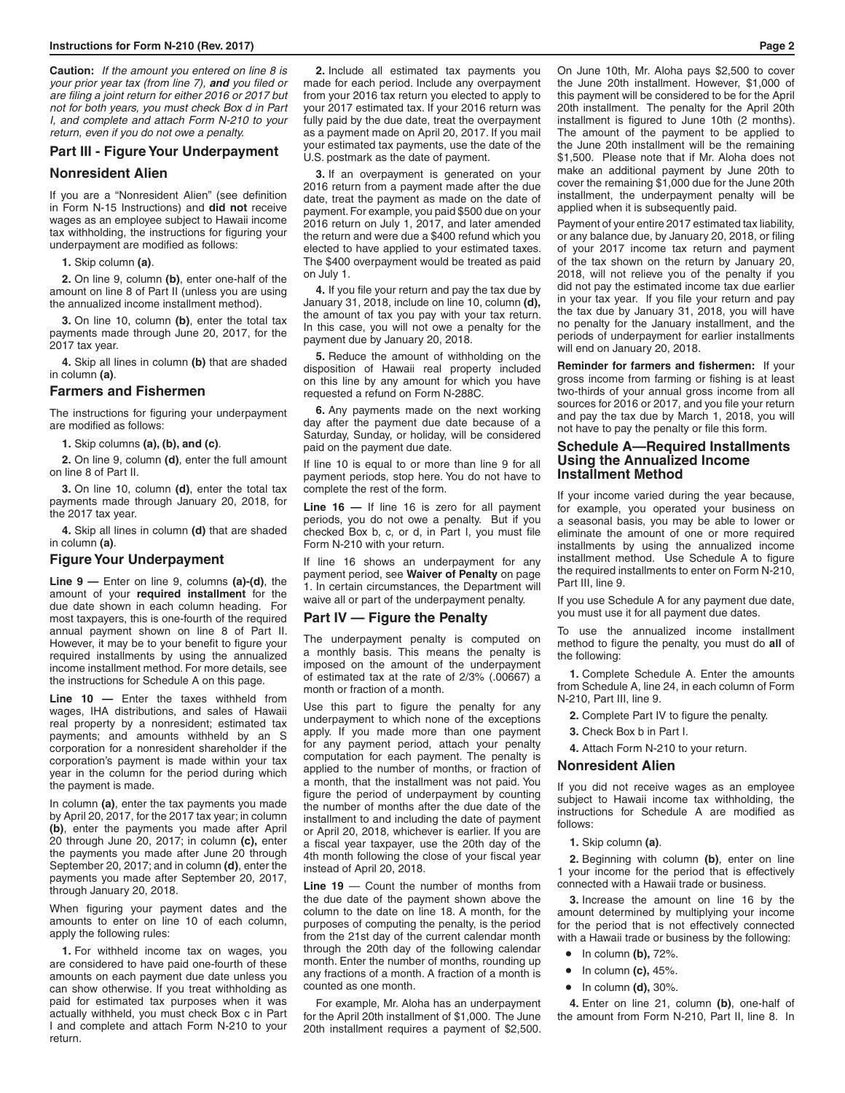**Caution:** *If the amount you entered on line 8 is your prior year tax (from line 7), and you filed or are filing a joint return for either 2016 or 2017 but not for both years, you must check Box d in Part I, and complete and attach Form N-210 to your return, even if you do not owe a penalty.*

### **Part III - Figure Your Underpayment**

### **Nonresident Alien**

If you are a "Nonresident Alien" (see definition in Form N-15 Instructions) and **did not** receive wages as an employee subject to Hawaii income tax withholding, the instructions for figuring your underpayment are modified as follows:

**1.** Skip column **(a)**.

**2.** On line 9, column **(b)**, enter one-half of the amount on line 8 of Part II (unless you are using the annualized income installment method).

**3.** On line 10, column **(b)**, enter the total tax payments made through June 20, 2017, for the 2017 tax year.

**4.** Skip all lines in column **(b)** that are shaded in column **(a)**.

#### **Farmers and Fishermen**

The instructions for figuring your underpayment are modified as follows:

**1.** Skip columns **(a), (b), and (c)**.

**2.** On line 9, column **(d)**, enter the full amount on line 8 of Part II.

**3.** On line 10, column **(d)**, enter the total tax payments made through January 20, 2018, for the 2017 tax year.

**4.** Skip all lines in column **(d)** that are shaded in column **(a)**.

### **Figure Your Underpayment**

**Line 9 —** Enter on line 9, columns **(a)-(d)**, the amount of your **required installment** for the due date shown in each column heading. For most taxpayers, this is one-fourth of the required annual payment shown on line 8 of Part II. However, it may be to your benefit to figure your required installments by using the annualized income installment method. For more details, see the instructions for Schedule A on this page.

**Line 10 —** Enter the taxes withheld from wages, IHA distributions, and sales of Hawaii real property by a nonresident; estimated tax payments; and amounts withheld by an S corporation for a nonresident shareholder if the corporation's payment is made within your tax year in the column for the period during which the payment is made.

In column **(a)**, enter the tax payments you made by April 20, 2017, for the 2017 tax year; in column **(b)**, enter the payments you made after April 20 through June 20, 2017; in column **(c),** enter the payments you made after June 20 through September 20, 2017; and in column **(d)**, enter the payments you made after September 20, 2017, through January 20, 2018.

When figuring your payment dates and the amounts to enter on line 10 of each column, apply the following rules:

**1.** For withheld income tax on wages, you are considered to have paid one-fourth of these amounts on each payment due date unless you can show otherwise. If you treat withholding as paid for estimated tax purposes when it was actually withheld, you must check Box c in Part I and complete and attach Form N-210 to your return.

**2.** Include all estimated tax payments you made for each period. Include any overpayment from your 2016 tax return you elected to apply to your 2017 estimated tax. If your 2016 return was fully paid by the due date, treat the overpayment as a payment made on April 20, 2017. If you mail your estimated tax payments, use the date of the U.S. postmark as the date of payment.

**3.** If an overpayment is generated on your 2016 return from a payment made after the due date, treat the payment as made on the date of payment. For example, you paid \$500 due on your 2016 return on July 1, 2017, and later amended the return and were due a \$400 refund which you elected to have applied to your estimated taxes. The \$400 overpayment would be treated as paid on July 1.

**4.** If you file your return and pay the tax due by January 31, 2018, include on line 10, column **(d),** the amount of tax you pay with your tax return. In this case, you will not owe a penalty for the payment due by January 20, 2018.

**5.** Reduce the amount of withholding on the disposition of Hawaii real property included on this line by any amount for which you have requested a refund on Form N-288C.

**6.** Any payments made on the next working day after the payment due date because of a Saturday, Sunday, or holiday, will be considered paid on the payment due date.

If line 10 is equal to or more than line 9 for all payment periods, stop here. You do not have to complete the rest of the form.

**Line 16 —** If line 16 is zero for all payment periods, you do not owe a penalty. But if you checked Box b, c, or d, in Part I, you must file Form N-210 with your return.

If line 16 shows an underpayment for any payment period, see **Waiver of Penalty** on page 1. In certain circumstances, the Department will waive all or part of the underpayment penalty.

#### **Part IV — Figure the Penalty**

The underpayment penalty is computed on a monthly basis. This means the penalty is imposed on the amount of the underpayment of estimated tax at the rate of 2/3% (.00667) a month or fraction of a month.

Use this part to figure the penalty for any underpayment to which none of the exceptions apply. If you made more than one payment for any payment period, attach your penalty computation for each payment. The penalty is applied to the number of months, or fraction of a month, that the installment was not paid. You figure the period of underpayment by counting the number of months after the due date of the installment to and including the date of payment or April 20, 2018, whichever is earlier. If you are a fiscal year taxpayer, use the 20th day of the 4th month following the close of your fiscal year instead of April 20, 2018.

**Line 19** — Count the number of months from the due date of the payment shown above the column to the date on line 18. A month, for the purposes of computing the penalty, is the period from the 21st day of the current calendar month through the 20th day of the following calendar month. Enter the number of months, rounding up any fractions of a month. A fraction of a month is counted as one month.

For example, Mr. Aloha has an underpayment for the April 20th installment of \$1,000. The June 20th installment requires a payment of \$2,500. On June 10th, Mr. Aloha pays \$2,500 to cover the June 20th installment. However, \$1,000 of this payment will be considered to be for the April 20th installment. The penalty for the April 20th installment is figured to June 10th (2 months). The amount of the payment to be applied to the June 20th installment will be the remaining \$1,500. Please note that if Mr. Aloha does not make an additional payment by June 20th to cover the remaining \$1,000 due for the June 20th installment, the underpayment penalty will be applied when it is subsequently paid.

Payment of your entire 2017 estimated tax liability, or any balance due, by January 20, 2018, or filing of your 2017 income tax return and payment of the tax shown on the return by January 20, 2018, will not relieve you of the penalty if you did not pay the estimated income tax due earlier in your tax year. If you file your return and pay the tax due by January 31, 2018, you will have no penalty for the January installment, and the periods of underpayment for earlier installments will end on January 20, 2018.

**Reminder for farmers and fishermen:** If your gross income from farming or fishing is at least two-thirds of your annual gross income from all sources for 2016 or 2017, and you file your return and pay the tax due by March 1, 2018, you will not have to pay the penalty or file this form.

### **Schedule A—Required Installments Using the Annualized Income Installment Method**

If your income varied during the year because, for example, you operated your business on a seasonal basis, you may be able to lower or eliminate the amount of one or more required installments by using the annualized income installment method. Use Schedule A to figure the required installments to enter on Form N-210, Part III, line 9.

If you use Schedule A for any payment due date, you must use it for all payment due dates.

To use the annualized income installment method to figure the penalty, you must do **all** of the following:

**1.** Complete Schedule A. Enter the amounts from Schedule A, line 24, in each column of Form N-210, Part III, line 9.

- **2.** Complete Part IV to figure the penalty.
- **3.** Check Box b in Part I.

**4.** Attach Form N-210 to your return.

### **Nonresident Alien**

If you did not receive wages as an employee subject to Hawaii income tax withholding, the instructions for Schedule A are modified as follows:

**1.** Skip column **(a)**.

**2.** Beginning with column **(b)**, enter on line 1 your income for the period that is effectively connected with a Hawaii trade or business.

**3.** Increase the amount on line 16 by the amount determined by multiplying your income for the period that is not effectively connected with a Hawaii trade or business by the following:

- In column **(b),** 72%.
- In column **(c),** 45%.
- In column **(d),** 30%.

**4.** Enter on line 21, column **(b)**, one-half of the amount from Form N-210, Part II, line 8. In